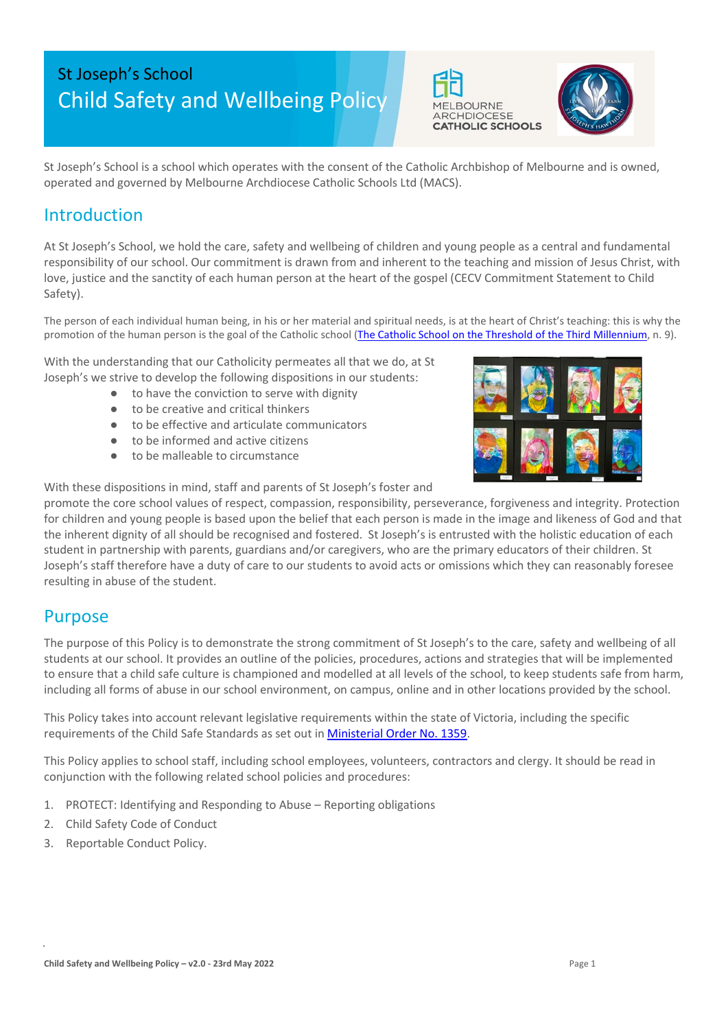# St Joseph's School Child Safety and Wellbeing Policy





St Joseph's School is a school which operates with the consent of the Catholic Archbishop of Melbourne and is owned, operated and governed by Melbourne Archdiocese Catholic Schools Ltd (MACS).

## Introduction

At St Joseph's School, we hold the care, safety and wellbeing of children and young people as a central and fundamental responsibility of our school. Our commitment is drawn from and inherent to the teaching and mission of Jesus Christ, with love, justice and the sanctity of each human person at the heart of the gospel (CECV Commitment Statement to Child Safety).

The person of each individual human being, in his or her material and spiritual needs, is at the heart of Christ's teaching: this is why the promotion of the human person is the goal of the Catholic school [\(The Catholic School on the Threshold of the Third Millennium,](http://www.vatican.va/roman_curia/congregations/ccatheduc/documents/rc_con_ccatheduc_doc_27041998_school2000_en.html) n. 9).

With the understanding that our Catholicity permeates all that we do, at St Joseph's we strive to develop the following dispositions in our students:

- to have the conviction to serve with dignity
- to be creative and critical thinkers
- to be effective and articulate communicators
- to be informed and active citizens
- to be malleable to circumstance



With these dispositions in mind, staff and parents of St Joseph's foster and

promote the core school values of respect, compassion, responsibility, perseverance, forgiveness and integrity. Protection for children and young people is based upon the belief that each person is made in the image and likeness of God and that the inherent dignity of all should be recognised and fostered. St Joseph's is entrusted with the holistic education of each student in partnership with parents, guardians and/or caregivers, who are the primary educators of their children. St Joseph's staff therefore have a duty of care to our students to avoid acts or omissions which they can reasonably foresee resulting in abuse of the student.

## Purpose

The purpose of this Policy is to demonstrate the strong commitment of St Joseph's to the care, safety and wellbeing of all students at our school. It provides an outline of the policies, procedures, actions and strategies that will be implemented to ensure that a child safe culture is championed and modelled at all levels of the school, to keep students safe from harm, including all forms of abuse in our school environment, on campus, online and in other locations provided by the school.

This Policy takes into account relevant legislative requirements within the state of Victoria, including the specific requirements of the Child Safe Standards as set out i[n Ministerial Order No. 1359.](https://www.vrqa.vic.gov.au/Documents/MinOrder1359childsafe.pdf)

This Policy applies to school staff, including school employees, volunteers, contractors and clergy. It should be read in conjunction with the following related school policies and procedures:

- 1. PROTECT: Identifying and Responding to Abuse Reporting obligations
- 2. Child Safety Code of Conduct
- 3. Reportable Conduct Policy.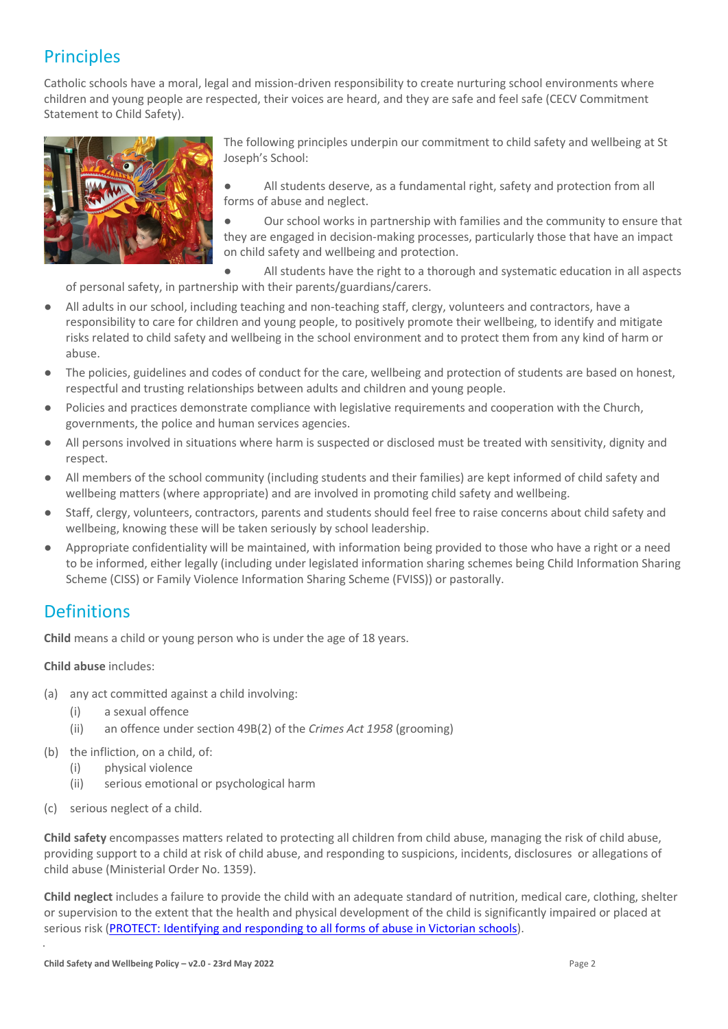# **Principles**

Catholic schools have a moral, legal and mission-driven responsibility to create nurturing school environments where children and young people are respected, their voices are heard, and they are safe and feel safe (CECV Commitment Statement to Child Safety).



The following principles underpin our commitment to child safety and wellbeing at St Joseph's School:

All students deserve, as a fundamental right, safety and protection from all forms of abuse and neglect.

Our school works in partnership with families and the community to ensure that they are engaged in decision-making processes, particularly those that have an impact on child safety and wellbeing and protection.

All students have the right to a thorough and systematic education in all aspects of personal safety, in partnership with their parents/guardians/carers.

- All adults in our school, including teaching and non-teaching staff, clergy, volunteers and contractors, have a responsibility to care for children and young people, to positively promote their wellbeing, to identify and mitigate risks related to child safety and wellbeing in the school environment and to protect them from any kind of harm or abuse.
- The policies, guidelines and codes of conduct for the care, wellbeing and protection of students are based on honest, respectful and trusting relationships between adults and children and young people.
- Policies and practices demonstrate compliance with legislative requirements and cooperation with the Church, governments, the police and human services agencies.
- All persons involved in situations where harm is suspected or disclosed must be treated with sensitivity, dignity and respect.
- All members of the school community (including students and their families) are kept informed of child safety and wellbeing matters (where appropriate) and are involved in promoting child safety and wellbeing.
- Staff, clergy, volunteers, contractors, parents and students should feel free to raise concerns about child safety and wellbeing, knowing these will be taken seriously by school leadership.
- Appropriate confidentiality will be maintained, with information being provided to those who have a right or a need to be informed, either legally (including under legislated information sharing schemes being Child Information Sharing Scheme (CISS) or Family Violence Information Sharing Scheme (FVISS)) or pastorally.

## **Definitions**

**Child** means a child or young person who is under the age of 18 years.

**Child abuse** includes:

- (a) any act committed against a child involving:
	- (i) a sexual offence
	- (ii) an offence under section 49B(2) of the *Crimes Act 1958* (grooming)
- (b) the infliction, on a child, of:
	- (i) physical violence
	- (ii) serious emotional or psychological harm
- (c) serious neglect of a child.

**Child safety** encompasses matters related to protecting all children from child abuse, managing the risk of child abuse, providing support to a child at risk of child abuse, and responding to suspicions, incidents, disclosures or allegations of child abuse (Ministerial Order No. 1359).

**Child neglect** includes a failure to provide the child with an adequate standard of nutrition, medical care, clothing, shelter or supervision to the extent that the health and physical development of the child is significantly impaired or placed at serious risk [\(PROTECT: Identifying and responding to all forms of abuse in Victorian schools\)](http://www.cecv.catholic.edu.au/getmedia/ebe135a4-d1b3-48a0-81fe-50d4fc451bcd/Identifying-and-Responding-to-All-Forms-of-Abuse.aspx#page%3D27).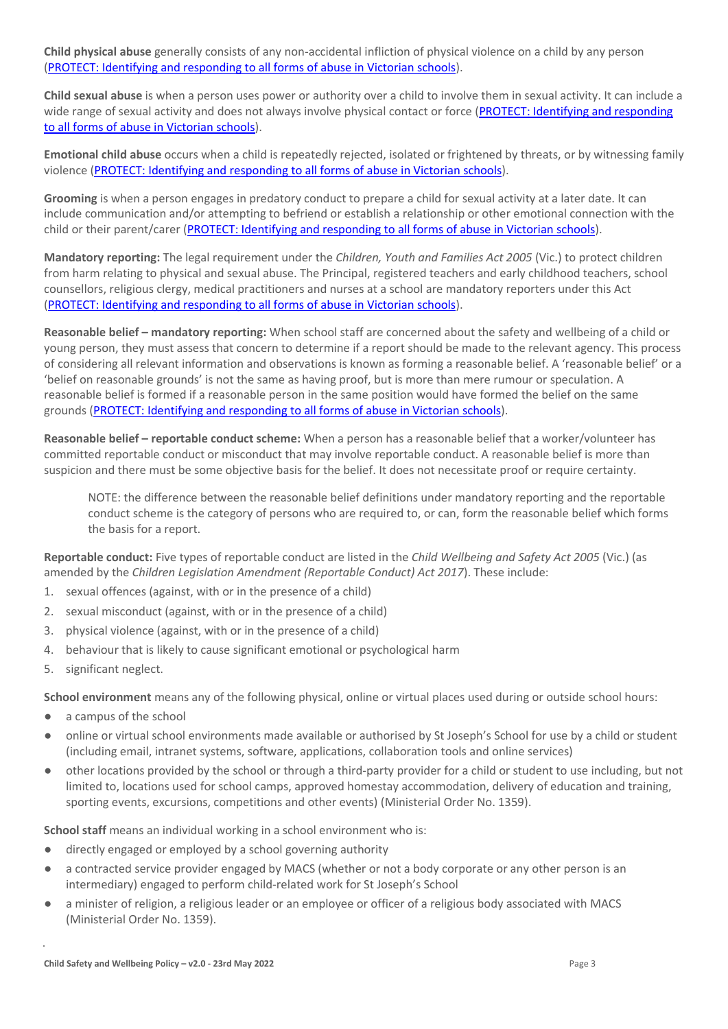**Child physical abuse** generally consists of any non-accidental infliction of physical violence on a child by any person [\(PROTECT: Identifying and responding to all forms of abuse in Victorian schools\)](https://www.cecv.catholic.edu.au/getmedia/ebe135a4-d1b3-48a0-81fe-50d4fc451bcd/Identifying-and-Responding-to-All-Forms-of-Abuse.aspx#page%3D15).

**Child sexual abuse** is when a person uses power or authority over a child to involve them in sexual activity. It can include a wide range of sexual activity and does not always involve physical contact or force (PROTECT: Identifying and responding [to all forms of abuse in Victorian schools\)](https://www.cecv.catholic.edu.au/getmedia/ebe135a4-d1b3-48a0-81fe-50d4fc451bcd/Identifying-and-Responding-to-All-Forms-of-Abuse.aspx#page%3D17).

**Emotional child abuse** occurs when a child is repeatedly rejected, isolated or frightened by threats, or by witnessing family violence [\(PROTECT: Identifying and responding to all forms of abuse in Victorian schools\)](https://www.cecv.catholic.edu.au/getmedia/ebe135a4-d1b3-48a0-81fe-50d4fc451bcd/Identifying-and-Responding-to-All-Forms-of-Abuse.aspx#page%3D26).

**Grooming** is when a person engages in predatory conduct to prepare a child for sexual activity at a later date. It can include communication and/or attempting to befriend or establish a relationship or other emotional connection with the child or their parent/carer [\(PROTECT: Identifying and responding to all forms of abuse in Victorian schools\)](https://www.cecv.catholic.edu.au/getmedia/ebe135a4-d1b3-48a0-81fe-50d4fc451bcd/Identifying-and-Responding-to-All-Forms-of-Abuse.aspx#page%3D20).

**Mandatory reporting:** The legal requirement under the *Children, Youth and Families Act 2005* (Vic.) to protect children from harm relating to physical and sexual abuse. The Principal, registered teachers and early childhood teachers, school counsellors, religious clergy, medical practitioners and nurses at a school are mandatory reporters under this Act [\(PROTECT: Identifying and responding to all forms of abuse in Victorian schools\)](http://www.cecv.catholic.edu.au/getmedia/ebe135a4-d1b3-48a0-81fe-50d4fc451bcd/Identifying-and-Responding-to-All-Forms-of-Abuse.aspx#page%3D8).

**Reasonable belief – mandatory reporting:** When school staff are concerned about the safety and wellbeing of a child or young person, they must assess that concern to determine if a report should be made to the relevant agency. This process of considering all relevant information and observations is known as forming a reasonable belief. A 'reasonable belief' or a 'belief on reasonable grounds' is not the same as having proof, but is more than mere rumour or speculation. A reasonable belief is formed if a reasonable person in the same position would have formed the belief on the same grounds [\(PROTECT: Identifying and responding to all forms of abuse in Victorian schools\)](http://www.cecv.catholic.edu.au/getmedia/ebe135a4-d1b3-48a0-81fe-50d4fc451bcd/Identifying-and-Responding-to-All-Forms-of-Abuse.aspx#page%3D35).

**Reasonable belief – reportable conduct scheme:** When a person has a reasonable belief that a worker/volunteer has committed reportable conduct or misconduct that may involve reportable conduct. A reasonable belief is more than suspicion and there must be some objective basis for the belief. It does not necessitate proof or require certainty.

NOTE: the difference between the reasonable belief definitions under mandatory reporting and the reportable conduct scheme is the category of persons who are required to, or can, form the reasonable belief which forms the basis for a report.

**Reportable conduct:** Five types of reportable conduct are listed in the *Child Wellbeing and Safety Act 2005* (Vic.) (as amended by the *Children Legislation Amendment (Reportable Conduct) Act 2017*). These include:

- 1. sexual offences (against, with or in the presence of a child)
- 2. sexual misconduct (against, with or in the presence of a child)
- 3. physical violence (against, with or in the presence of a child)
- 4. behaviour that is likely to cause significant emotional or psychological harm
- 5. significant neglect.

**School environment** means any of the following physical, online or virtual places used during or outside school hours:

- a campus of the school
- online or virtual school environments made available or authorised by St Joseph's School for use by a child or student (including email, intranet systems, software, applications, collaboration tools and online services)
- other locations provided by the school or through a third-party provider for a child or student to use including, but not limited to, locations used for school camps, approved homestay accommodation, delivery of education and training, sporting events, excursions, competitions and other events) (Ministerial Order No. 1359).

**School staff** means an individual working in a school environment who is:

- directly engaged or employed by a school governing authority
- a contracted service provider engaged by MACS (whether or not a body corporate or any other person is an intermediary) engaged to perform child-related work for St Joseph's School
- a minister of religion, a religious leader or an employee or officer of a religious body associated with MACS (Ministerial Order No. 1359).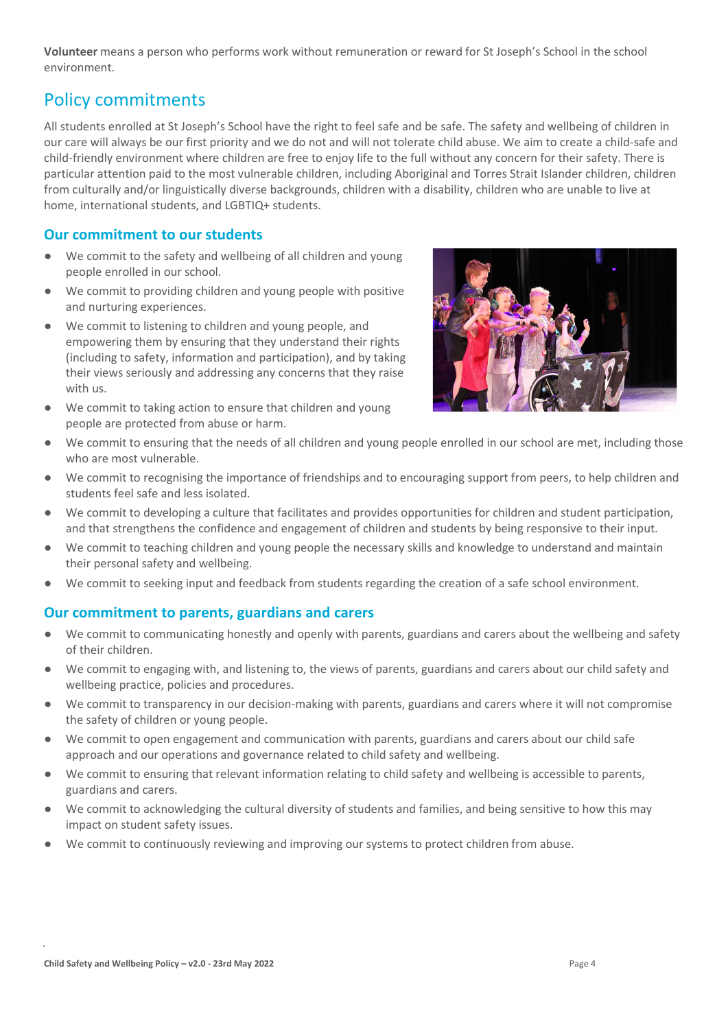**Volunteer** means a person who performs work without remuneration or reward for St Joseph's School in the school environment.

### Policy commitments

All students enrolled at St Joseph's School have the right to feel safe and be safe. The safety and wellbeing of children in our care will always be our first priority and we do not and will not tolerate child abuse. We aim to create a child-safe and child-friendly environment where children are free to enjoy life to the full without any concern for their safety. There is particular attention paid to the most vulnerable children, including Aboriginal and Torres Strait Islander children, children from culturally and/or linguistically diverse backgrounds, children with a disability, children who are unable to live at home, international students, and LGBTIQ+ students.

#### **Our commitment to our students**

- We commit to the safety and wellbeing of all children and young people enrolled in our school.
- We commit to providing children and young people with positive and nurturing experiences.
- We commit to listening to children and young people, and empowering them by ensuring that they understand their rights (including to safety, information and participation), and by taking their views seriously and addressing any concerns that they raise with us.
- We commit to taking action to ensure that children and young people are protected from abuse or harm.



- We commit to ensuring that the needs of all children and young people enrolled in our school are met, including those who are most vulnerable.
- We commit to recognising the importance of friendships and to encouraging support from peers, to help children and students feel safe and less isolated.
- We commit to developing a culture that facilitates and provides opportunities for children and student participation, and that strengthens the confidence and engagement of children and students by being responsive to their input.
- We commit to teaching children and young people the necessary skills and knowledge to understand and maintain their personal safety and wellbeing.
- We commit to seeking input and feedback from students regarding the creation of a safe school environment.

### **Our commitment to parents, guardians and carers**

- We commit to communicating honestly and openly with parents, guardians and carers about the wellbeing and safety of their children.
- We commit to engaging with, and listening to, the views of parents, guardians and carers about our child safety and wellbeing practice, policies and procedures.
- We commit to transparency in our decision-making with parents, guardians and carers where it will not compromise the safety of children or young people.
- We commit to open engagement and communication with parents, guardians and carers about our child safe approach and our operations and governance related to child safety and wellbeing.
- We commit to ensuring that relevant information relating to child safety and wellbeing is accessible to parents, guardians and carers.
- We commit to acknowledging the cultural diversity of students and families, and being sensitive to how this may impact on student safety issues.
- We commit to continuously reviewing and improving our systems to protect children from abuse.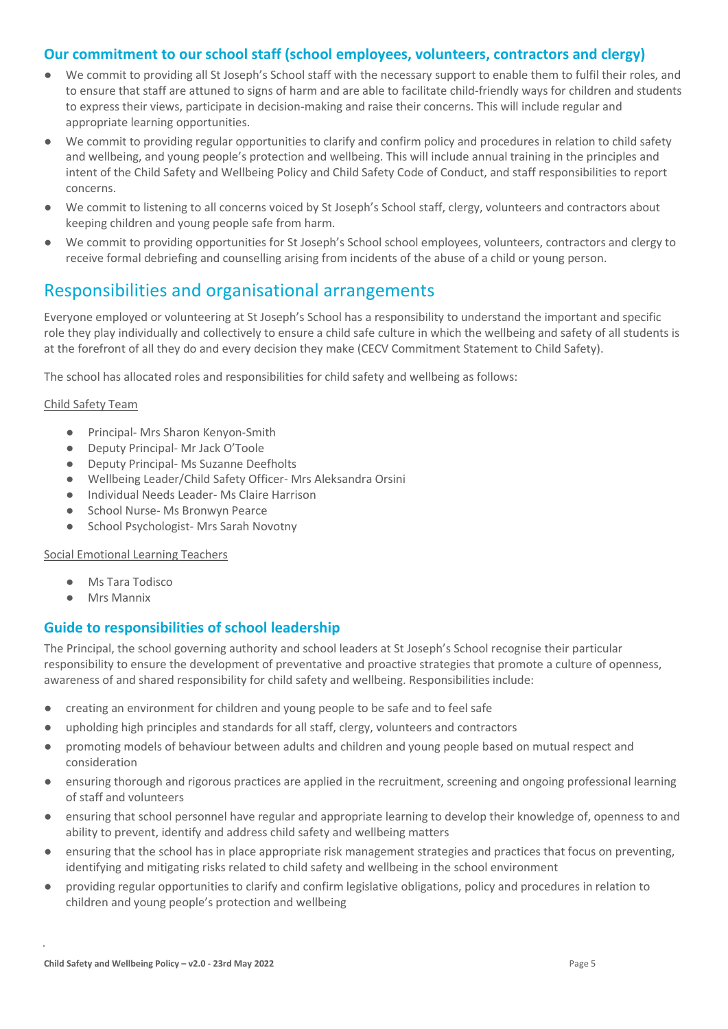#### **Our commitment to our school staff (school employees, volunteers, contractors and clergy)**

- We commit to providing all St Joseph's School staff with the necessary support to enable them to fulfil their roles, and to ensure that staff are attuned to signs of harm and are able to facilitate child-friendly ways for children and students to express their views, participate in decision-making and raise their concerns. This will include regular and appropriate learning opportunities.
- We commit to providing regular opportunities to clarify and confirm policy and procedures in relation to child safety and wellbeing, and young people's protection and wellbeing. This will include annual training in the principles and intent of the Child Safety and Wellbeing Policy and Child Safety Code of Conduct, and staff responsibilities to report concerns.
- We commit to listening to all concerns voiced by St Joseph's School staff, clergy, volunteers and contractors about keeping children and young people safe from harm.
- We commit to providing opportunities for St Joseph's School school employees, volunteers, contractors and clergy to receive formal debriefing and counselling arising from incidents of the abuse of a child or young person.

# Responsibilities and organisational arrangements

Everyone employed or volunteering at St Joseph's School has a responsibility to understand the important and specific role they play individually and collectively to ensure a child safe culture in which the wellbeing and safety of all students is at the forefront of all they do and every decision they make (CECV Commitment Statement to Child Safety).

The school has allocated roles and responsibilities for child safety and wellbeing as follows:

#### Child Safety Team

- Principal- Mrs Sharon Kenyon-Smith
- Deputy Principal- Mr Jack O'Toole
- Deputy Principal- Ms Suzanne Deefholts
- Wellbeing Leader/Child Safety Officer- Mrs Aleksandra Orsini
- Individual Needs Leader- Ms Claire Harrison
- School Nurse- Ms Bronwyn Pearce
- School Psychologist- Mrs Sarah Novotny

Social Emotional Learning Teachers

- Ms Tara Todisco
- Mrs Mannix

#### **Guide to responsibilities of school leadership**

The Principal, the school governing authority and school leaders at St Joseph's School recognise their particular responsibility to ensure the development of preventative and proactive strategies that promote a culture of openness, awareness of and shared responsibility for child safety and wellbeing. Responsibilities include:

- creating an environment for children and young people to be safe and to feel safe
- upholding high principles and standards for all staff, clergy, volunteers and contractors
- promoting models of behaviour between adults and children and young people based on mutual respect and consideration
- ensuring thorough and rigorous practices are applied in the recruitment, screening and ongoing professional learning of staff and volunteers
- ensuring that school personnel have regular and appropriate learning to develop their knowledge of, openness to and ability to prevent, identify and address child safety and wellbeing matters
- ensuring that the school has in place appropriate risk management strategies and practices that focus on preventing, identifying and mitigating risks related to child safety and wellbeing in the school environment
- providing regular opportunities to clarify and confirm legislative obligations, policy and procedures in relation to children and young people's protection and wellbeing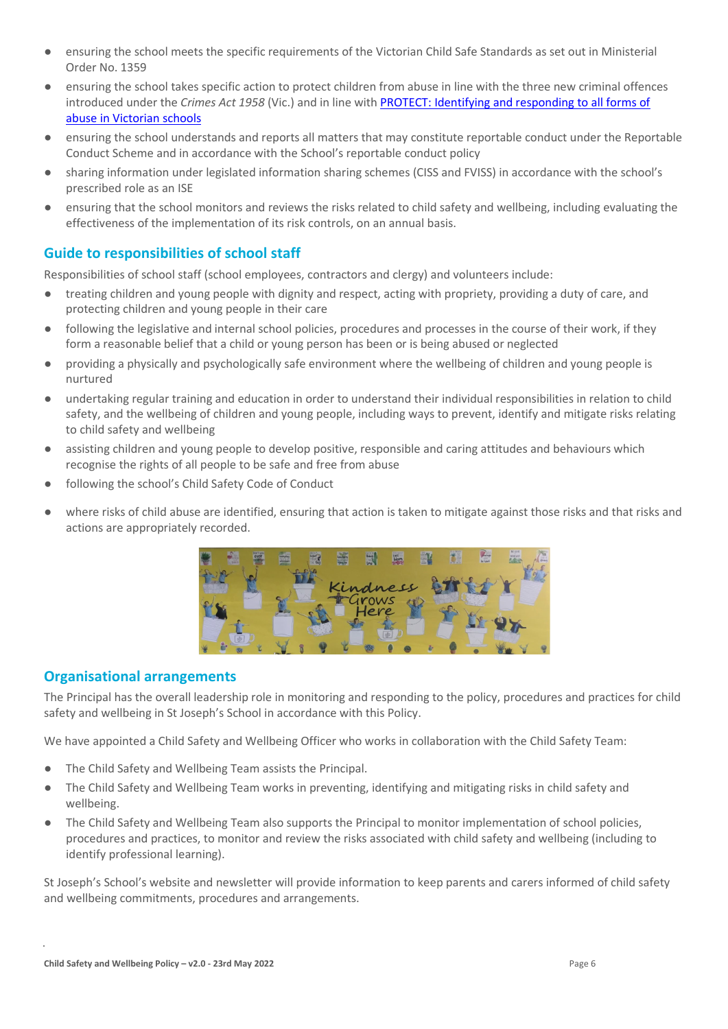- ensuring the school meets the specific requirements of the Victorian Child Safe Standards as set out in Ministerial Order No. 1359
- ensuring the school takes specific action to protect children from abuse in line with the three new criminal offences introduced under the *Crimes Act 1958* (Vic.) and in line with [PROTECT: Identifying and responding to all forms of](http://www.cecv.catholic.edu.au/getmedia/ebe135a4-d1b3-48a0-81fe-50d4fc451bcd/Identifying-and-Responding-to-All-Forms-of-Abuse.aspx)  [abuse in Victorian schools](http://www.cecv.catholic.edu.au/getmedia/ebe135a4-d1b3-48a0-81fe-50d4fc451bcd/Identifying-and-Responding-to-All-Forms-of-Abuse.aspx)
- ensuring the school understands and reports all matters that may constitute reportable conduct under the Reportable Conduct Scheme and in accordance with the School's reportable conduct policy
- sharing information under legislated information sharing schemes (CISS and FVISS) in accordance with the school's prescribed role as an ISE
- ensuring that the school monitors and reviews the risks related to child safety and wellbeing, including evaluating the effectiveness of the implementation of its risk controls, on an annual basis.

#### **Guide to responsibilities of school staff**

Responsibilities of school staff (school employees, contractors and clergy) and volunteers include:

- treating children and young people with dignity and respect, acting with propriety, providing a duty of care, and protecting children and young people in their care
- following the legislative and internal school policies, procedures and processes in the course of their work, if they form a reasonable belief that a child or young person has been or is being abused or neglected
- providing a physically and psychologically safe environment where the wellbeing of children and young people is nurtured
- undertaking regular training and education in order to understand their individual responsibilities in relation to child safety, and the wellbeing of children and young people, including ways to prevent, identify and mitigate risks relating to child safety and wellbeing
- assisting children and young people to develop positive, responsible and caring attitudes and behaviours which recognise the rights of all people to be safe and free from abuse
- following the school's Child Safety Code of Conduct
- where risks of child abuse are identified, ensuring that action is taken to mitigate against those risks and that risks and actions are appropriately recorded.



### **Organisational arrangements**

The Principal has the overall leadership role in monitoring and responding to the policy, procedures and practices for child safety and wellbeing in St Joseph's School in accordance with this Policy.

We have appointed a Child Safety and Wellbeing Officer who works in collaboration with the Child Safety Team:

- The Child Safety and Wellbeing Team assists the Principal.
- The Child Safety and Wellbeing Team works in preventing, identifying and mitigating risks in child safety and wellbeing.
- The Child Safety and Wellbeing Team also supports the Principal to monitor implementation of school policies, procedures and practices, to monitor and review the risks associated with child safety and wellbeing (including to identify professional learning).

St Joseph's School's website and newsletter will provide information to keep parents and carers informed of child safety and wellbeing commitments, procedures and arrangements.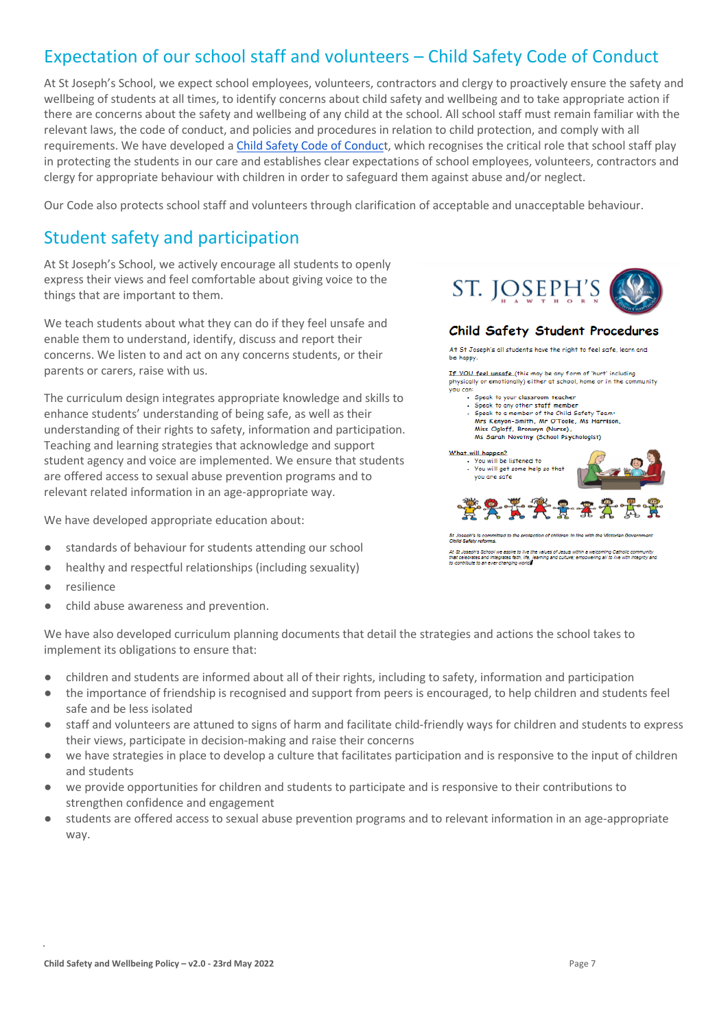# Expectation of our school staff and volunteers – Child Safety Code of Conduct

At St Joseph's School, we expect school employees, volunteers, contractors and clergy to proactively ensure the safety and wellbeing of students at all times, to identify concerns about child safety and wellbeing and to take appropriate action if there are concerns about the safety and wellbeing of any child at the school. All school staff must remain familiar with the relevant laws, the code of conduct, and policies and procedures in relation to child protection, and comply with all requirements. We have developed [a Child Safety Code of Conduct](https://docs.google.com/document/d/1FCgT5tyuHsJgCGElnGhqLHrR1L-eKiKM/edit), which recognises the critical role that school staff play in protecting the students in our care and establishes clear expectations of school employees, volunteers, contractors and clergy for appropriate behaviour with children in order to safeguard them against abuse and/or neglect.

Our Code also protects school staff and volunteers through clarification of acceptable and unacceptable behaviour.

## Student safety and participation

At St Joseph's School, we actively encourage all students to openly express their views and feel comfortable about giving voice to the things that are important to them.

We teach students about what they can do if they feel unsafe and enable them to understand, identify, discuss and report their concerns. We listen to and act on any concerns students, or their parents or carers, raise with us.

The curriculum design integrates appropriate knowledge and skills to enhance students' understanding of being safe, as well as their understanding of their rights to safety, information and participation. Teaching and learning strategies that acknowledge and support student agency and voice are implemented. We ensure that students are offered access to sexual abuse prevention programs and to relevant related information in an age-appropriate way.

We have developed appropriate education about:

- standards of behaviour for students attending our school
- healthy and respectful relationships (including sexuality)
- resilience
- child abuse awareness and prevention.



#### Child Safety Student Procedures

At St Joseph's all students have the right to feel safe, learn and be happy

If YOU feel unsafe (this may be any form of 'hurt' including physically or emotionally) either at school, home or in the community .<br>Vou can

- -..<br>• Speak to your classroom teacher
- Speak to any other staff member Speak to a member of the Child Safety Team
- Speak to a member of the china Sately Team.<br>Miss Kenyon-Smith, Mr O'Toole, Ms Harrison,<br>Miss Ogloff, Bronwyn (Nurse),<br>Ms Sarah Novotny (School Psychologist)
- 



.<br>That celebrates and integrates faith, life, t<br>to contribute to an ever changing world<mark>.</mark> the values of Jesus within a welcoming Catholic community<br>, learning and culture; empowering all to live with integrity and

We have also developed curriculum planning documents that detail the strategies and actions the school takes to implement its obligations to ensure that:

- children and students are informed about all of their rights, including to safety, information and participation
- the importance of friendship is recognised and support from peers is encouraged, to help children and students feel safe and be less isolated
- staff and volunteers are attuned to signs of harm and facilitate child-friendly ways for children and students to express their views, participate in decision-making and raise their concerns
- we have strategies in place to develop a culture that facilitates participation and is responsive to the input of children and students
- we provide opportunities for children and students to participate and is responsive to their contributions to strengthen confidence and engagement
- students are offered access to sexual abuse prevention programs and to relevant information in an age-appropriate way.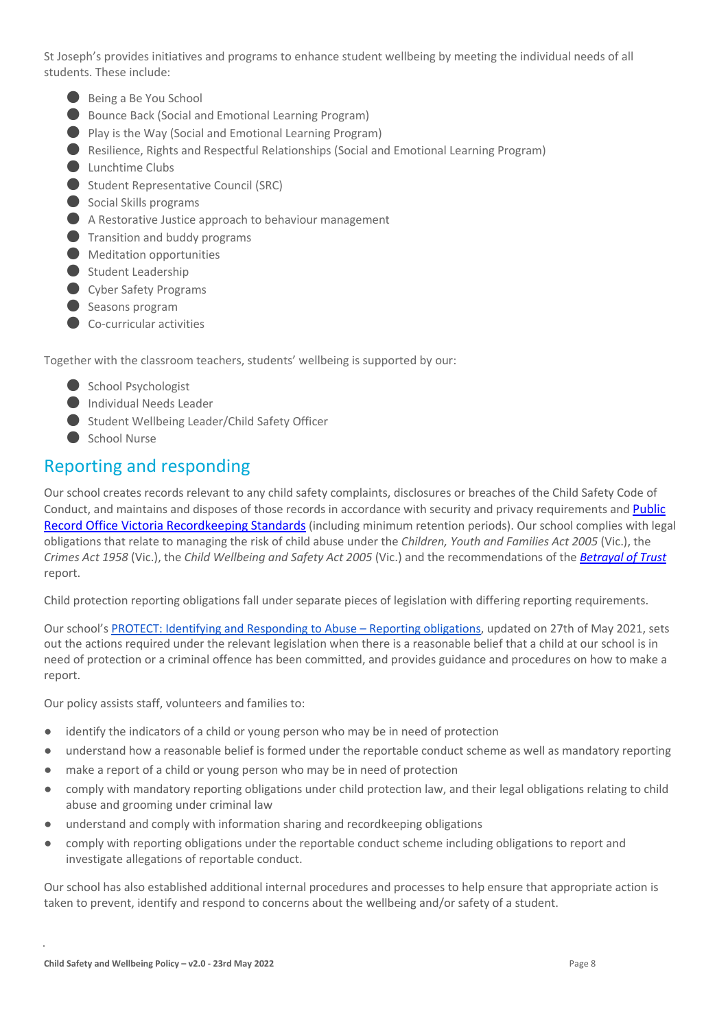St Joseph's provides initiatives and programs to enhance student wellbeing by meeting the individual needs of all students. These include:

- Being a Be You School
- Bounce Back (Social and Emotional Learning Program)
- Play is the Way (Social and Emotional Learning Program)
- Resilience, Rights and Respectful Relationships (Social and Emotional Learning Program)
- Lunchtime Clubs
- Student Representative Council (SRC)
- Social Skills programs
- A Restorative Justice approach to behaviour management
- **O** Transition and buddy programs
- Meditation opportunities
- Student Leadership
- Cyber Safety Programs
- Seasons program
- Co-curricular activities

Together with the classroom teachers, students' wellbeing is supported by our:

- School Psychologist
- Individual Needs Leader
- Student Wellbeing Leader/Child Safety Officer
- School Nurse

### Reporting and responding

Our school creates records relevant to any child safety complaints, disclosures or breaches of the Child Safety Code of Conduct, and maintains and disposes of those records in accordance with security and privacy requirements and Public [Record Office Victoria Recordkeeping Standards](https://prov.vic.gov.au/sites/default/files/files/documents/1906v1.0.pdf) (including minimum retention periods). Our school complies with legal obligations that relate to managing the risk of child abuse under the *Children, Youth and Families Act 2005* (Vic.), the *Crimes Act 1958* (Vic.), the *Child Wellbeing and Safety Act 2005* (Vic.) and the recommendations of the *[Betrayal of Trust](http://www.parliament.vic.gov.au/fcdc/article/1788)* report.

Child protection reporting obligations fall under separate pieces of legislation with differing reporting requirements.

Our school's [PROTECT: Identifying and Responding to Abuse –](https://docs.google.com/document/d/1fbmDdY3es-zR2lWqzZPlixEabVEyGnxw/edit#heading=h.gjdgxs) Reporting obligations, updated on 27th of May 2021, sets out the actions required under the relevant legislation when there is a reasonable belief that a child at our school is in need of protection or a criminal offence has been committed, and provides guidance and procedures on how to make a report.

Our policy assists staff, volunteers and families to:

- identify the indicators of a child or young person who may be in need of protection
- understand how a reasonable belief is formed under the reportable conduct scheme as well as mandatory reporting
- make a report of a child or young person who may be in need of protection
- comply with mandatory reporting obligations under child protection law, and their legal obligations relating to child abuse and grooming under criminal law
- understand and comply with information sharing and recordkeeping obligations
- comply with reporting obligations under the reportable conduct scheme including obligations to report and investigate allegations of reportable conduct.

Our school has also established additional internal procedures and processes to help ensure that appropriate action is taken to prevent, identify and respond to concerns about the wellbeing and/or safety of a student.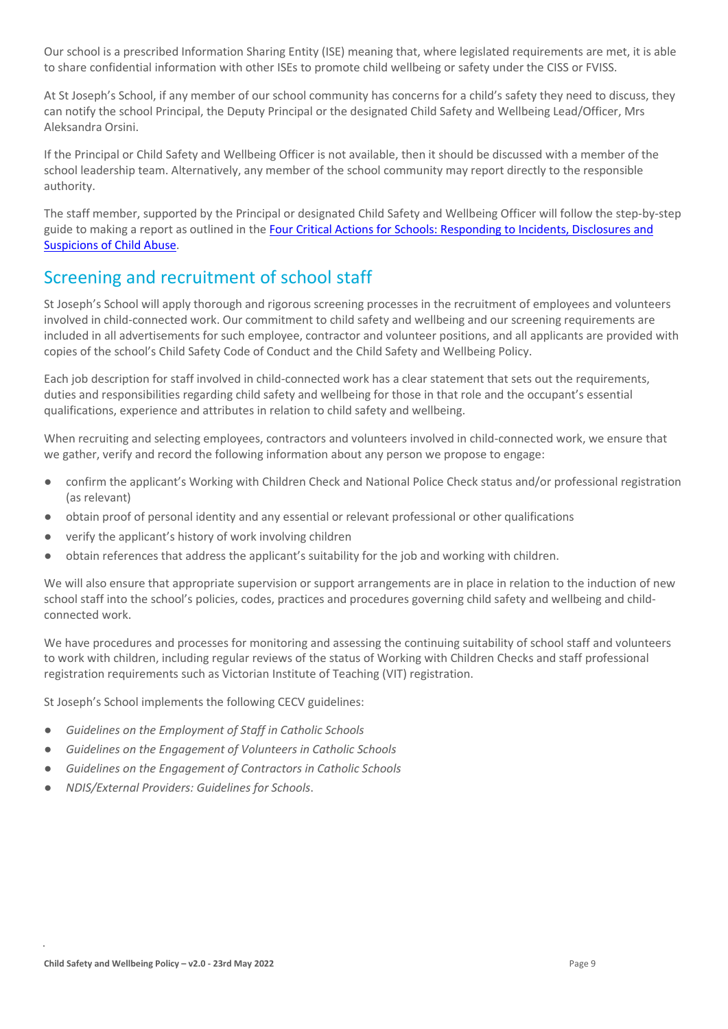Our school is a prescribed Information Sharing Entity (ISE) meaning that, where legislated requirements are met, it is able to share confidential information with other ISEs to promote child wellbeing or safety under the CISS or FVISS.

At St Joseph's School, if any member of our school community has concerns for a child's safety they need to discuss, they can notify the school Principal, the Deputy Principal or the designated Child Safety and Wellbeing Lead/Officer, Mrs Aleksandra Orsini.

If the Principal or Child Safety and Wellbeing Officer is not available, then it should be discussed with a member of the school leadership team. Alternatively, any member of the school community may report directly to the responsible authority.

The staff member, supported by the Principal or designated Child Safety and Wellbeing Officer will follow the step-by-step guide to making a report as outlined in the Four [Critical Actions for Schools: Responding to Incidents, Disclosures and](https://www.education.vic.gov.au/Documents/about/programs/health/protect/FourCriticalActions_ChildAbuse.pdf)  [Suspicions of Child Abuse.](https://www.education.vic.gov.au/Documents/about/programs/health/protect/FourCriticalActions_ChildAbuse.pdf)

### Screening and recruitment of school staff

St Joseph's School will apply thorough and rigorous screening processes in the recruitment of employees and volunteers involved in child-connected work. Our commitment to child safety and wellbeing and our screening requirements are included in all advertisements for such employee, contractor and volunteer positions, and all applicants are provided with copies of the school's Child Safety Code of Conduct and the Child Safety and Wellbeing Policy.

Each job description for staff involved in child-connected work has a clear statement that sets out the requirements, duties and responsibilities regarding child safety and wellbeing for those in that role and the occupant's essential qualifications, experience and attributes in relation to child safety and wellbeing.

When recruiting and selecting employees, contractors and volunteers involved in child-connected work, we ensure that we gather, verify and record the following information about any person we propose to engage:

- confirm the applicant's Working with Children Check and National Police Check status and/or professional registration (as relevant)
- obtain proof of personal identity and any essential or relevant professional or other qualifications
- verify the applicant's history of work involving children
- obtain references that address the applicant's suitability for the job and working with children.

We will also ensure that appropriate supervision or support arrangements are in place in relation to the induction of new school staff into the school's policies, codes, practices and procedures governing child safety and wellbeing and childconnected work.

We have procedures and processes for monitoring and assessing the continuing suitability of school staff and volunteers to work with children, including regular reviews of the status of Working with Children Checks and staff professional registration requirements such as Victorian Institute of Teaching (VIT) registration.

St Joseph's School implements the following CECV guidelines:

- Guidelines on the Employment of Staff in Catholic Schools
- *Guidelines on the Engagement of Volunteers in Catholic Schools*
- Guidelines on the Engagement of Contractors in Catholic Schools
- *NDIS/External Providers: Guidelines for Schools*.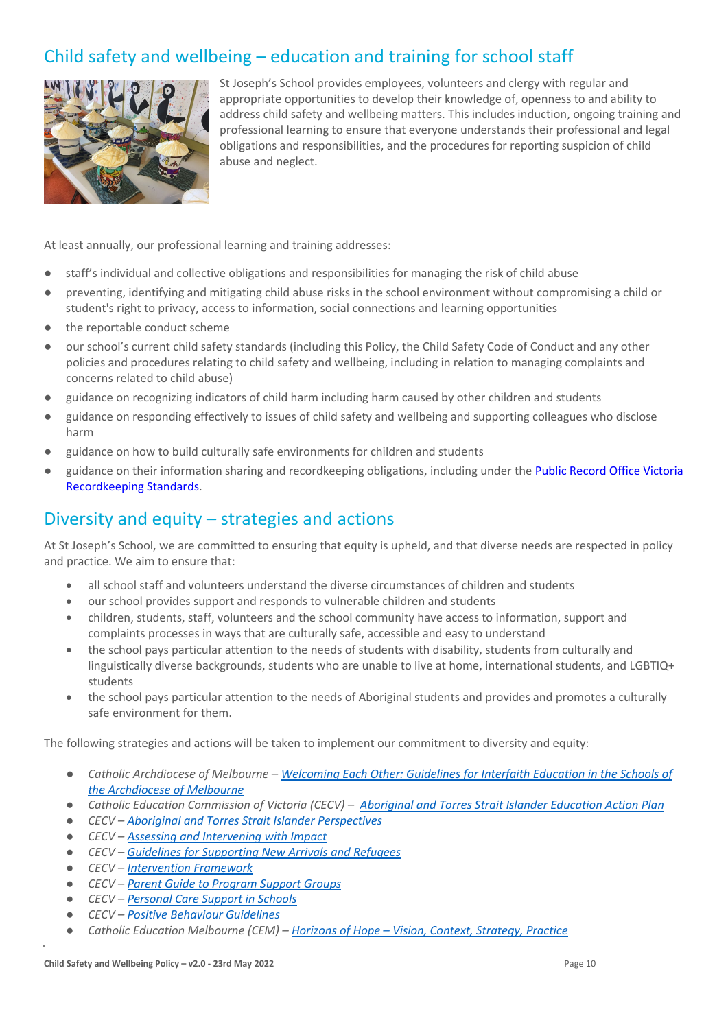# Child safety and wellbeing – education and training for school staff



St Joseph's School provides employees, volunteers and clergy with regular and appropriate opportunities to develop their knowledge of, openness to and ability to address child safety and wellbeing matters. This includes induction, ongoing training and professional learning to ensure that everyone understands their professional and legal obligations and responsibilities, and the procedures for reporting suspicion of child abuse and neglect.

At least annually, our professional learning and training addresses:

- staff's individual and collective obligations and responsibilities for managing the risk of child abuse
- preventing, identifying and mitigating child abuse risks in the school environment without compromising a child or student's right to privacy, access to information, social connections and learning opportunities
- the reportable conduct scheme
- our school's current child safety standards (including this Policy, the Child Safety Code of Conduct and any other policies and procedures relating to child safety and wellbeing, including in relation to managing complaints and concerns related to child abuse)
- guidance on recognizing indicators of child harm including harm caused by other children and students
- guidance on responding effectively to issues of child safety and wellbeing and supporting colleagues who disclose harm
- guidance on how to build culturally safe environments for children and students
- guidance on their information sharing and recordkeeping obligations, including under the Public Record Office Victoria [Recordkeeping Standards.](https://prov.vic.gov.au/sites/default/files/files/documents/1906v1.0.pdf)

### Diversity and equity – strategies and actions

At St Joseph's School, we are committed to ensuring that equity is upheld, and that diverse needs are respected in policy and practice. We aim to ensure that:

- all school staff and volunteers understand the diverse circumstances of children and students
- our school provides support and responds to vulnerable children and students
- children, students, staff, volunteers and the school community have access to information, support and complaints processes in ways that are culturally safe, accessible and easy to understand
- the school pays particular attention to the needs of students with disability, students from culturally and linguistically diverse backgrounds, students who are unable to live at home, international students, and LGBTIQ+ students
- the school pays particular attention to the needs of Aboriginal students and provides and promotes a culturally safe environment for them.

The following strategies and actions will be taken to implement our commitment to diversity and equity:

- *Catholic Archdiocese of Melbourne – [Welcoming Each Other: Guidelines for Interfaith Education in the Schools of](http://www.cam1.org.au/eic/welcoming/index.html)  [the Archdiocese of Melbourne](http://www.cam1.org.au/eic/welcoming/index.html)*
- *Catholic Education Commission of Victoria (CECV) – [Aboriginal and Torres Strait Islander Education Action Plan](https://www.cecv.catholic.edu.au/getmedia/bd494d6a-2d58-4f9b-94a2-85f3ab75e7ea/CECV-Aboriginal-and-Torres-Strait-Islander-Education-Action-Plan.aspx?ext=.pdf)*
- *CECV – [Aboriginal and Torres Strait Islander Perspectives](https://cevn.cecv.catholic.edu.au/Melb/Student-Support/Cultural-Diversity/ATSI-perspectives)*
- *CECV – [Assessing and Intervening with Impact](https://cevn.cecv.catholic.edu.au/Melb/Document-File/Students-Support/Practices/Assessing-and-intervening-with-impact)*
- *CECV – [Guidelines for Supporting New Arrivals and Refugees](https://www.cecv.catholic.edu.au/getmedia/b1a8935d-5f90-45e6-bb28-828e23c83366/CECV-Guidelines-for-New-Arrivals-and-Refugees-2020-2022.aspx?ext=.pdf)*
- *CECV – [Intervention Framework](https://www.cecv.catholic.edu.au/getmedia/757e80aa-1c1a-4510-8d8a-f1ca72a92adb/CECV-Intervention-Framework-2021-overview.aspx?ext=.pdf)*
- *CECV – [Parent Guide to Program Support Groups](https://www.cecv.catholic.edu.au/getmedia/8067c3e8-72f0-402c-9b78-60450b06c689/Parent-Guide-to-Program-Support-Groups.aspx?ext=.pdf)*
- *CECV – [Personal Care Support in Schools](https://www.cecv.catholic.edu.au/getmedia/56a1892e-fc3f-45f8-b057-daa8dd462dfd/CECV-Personal-Care-Support-in-Schools.aspx?ext=.pdf)*
- *CECV – [Positive Behaviour Guidelines](https://www.cecv.catholic.edu.au/getmedia/bc1d235d-9a98-4bb4-b3ac-84b50fa7c639/CECV-Positive-Behaviour-Guidelines_FINAL2.aspx?ext=.pdf)*
- *Catholic Education Melbourne (CEM) – Horizons of Hope – [Vision, Context, Strategy, Practice](https://cevn.cecv.catholic.edu.au/Melb/Curriculum/Horizons-of-Hope)*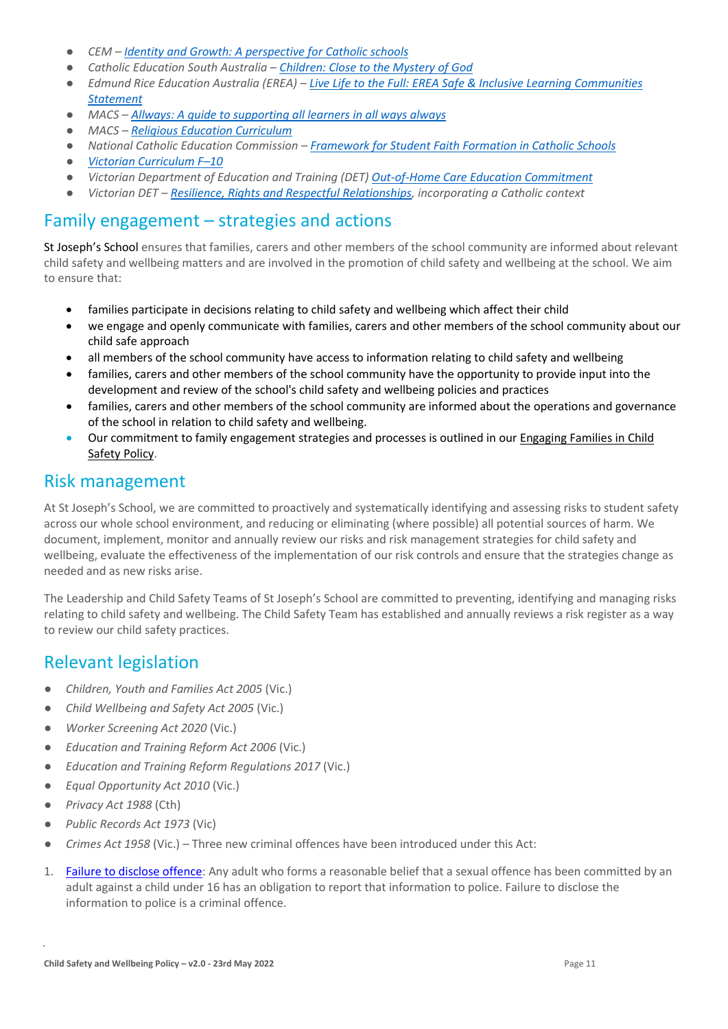- *CEM – [Identity and Growth: A perspective for Catholic schools](https://cevn.cecv.catholic.edu.au/Melb/MI/Identity-Growth)*
- *Catholic Education South Australia – [Children: Close to the Mystery of God](https://safeguardingchildren.acu.edu.au/-/media/feature/micrositesarticles/safeguardingchildren/children_close_to_mystery_of_god_-vjuly2015rev_20150825.pdf?la=en&hash=A5234C17459BAE41E54584FAA066B9A0)*
- *Edmund Rice Education Australia (EREA) – [Live Life to the Full: EREA Safe & Inclusive Learning Communities](https://www.erea.edu.au/wp-content/uploads/2020/09/Safe_and_inclusive_Resource.pdf)  [Statement](https://www.erea.edu.au/wp-content/uploads/2020/09/Safe_and_inclusive_Resource.pdf)*
- *MACS – [Allways: A guide to supporting all learners in all ways always](https://www.macs.vic.edu.au/CatholicEducationMelbourne/media/Documentation/Documents/Allways-A4-book-Guide-web.pdf)*
- *MACS – [Religious Education Curriculum](https://resource-macs.com/)*
- *National Catholic Education Commission – Framework for [Student Faith Formation in Catholic Schools](https://www.ncec.catholic.edu.au/doclink/student-faith-formation-in-catholic-schools-february-2022/eyJ0eXAiOiJKV1QiLCJhbGciOiJIUzI1NiJ9.eyJzdWIiOiJzdHVkZW50LWZhaXRoLWZvcm1hdGlvbi1pbi1jYXRob2xpYy1zY2hvb2xzLWZlYnJ1YXJ5LTIwMjIiLCJpYXQiOjE2NDQyNzM3NTYsImV4cCI6MTY0NDM2MDE1Nn0.jGLDyhU7PGuIaDiSI4Pv5ODo78qVCxDaI9e5o0m7CVg)*
- *[Victorian Curriculum F–10](https://victoriancurriculum.vcaa.vic.edu.au/)*
- *Victorian Department of Education and Training (DET) [Out-of-Home Care Education Commitment](https://www.cecv.catholic.edu.au/getmedia/11631bac-6208-4324-887e-0aca88189126/OoHC-Education-Commitment.aspx?ext=.pdf)*
- *Victorian DET – [Resilience, Rights and Respectful Relationships,](https://fuse.education.vic.gov.au/ResourcePackage/ByPin?pin=2JZX4R) incorporating a Catholic context*

### Family engagement – strategies and actions

St Joseph's School ensures that families, carers and other members of the school community are informed about relevant child safety and wellbeing matters and are involved in the promotion of child safety and wellbeing at the school. We aim to ensure that:

- families participate in decisions relating to child safety and wellbeing which affect their child
- we engage and openly communicate with families, carers and other members of the school community about our child safe approach
- all members of the school community have access to information relating to child safety and wellbeing
- families, carers and other members of the school community have the opportunity to provide input into the development and review of the school's child safety and wellbeing policies and practices
- families, carers and other members of the school community are informed about the operations and governance of the school in relation to child safety and wellbeing.
- Our commitment to family engagement strategies and processes is outlined in our [Engaging Families in Child](https://docs.google.com/document/d/1JDXhQ20E6g2e_uExGOUQr_HqnBSvNUfC/edit)  [Safety Policy.](https://docs.google.com/document/d/1JDXhQ20E6g2e_uExGOUQr_HqnBSvNUfC/edit)

### Risk management

At St Joseph's School, we are committed to proactively and systematically identifying and assessing risks to student safety across our whole school environment, and reducing or eliminating (where possible) all potential sources of harm. We document, implement, monitor and annually review our risks and risk management strategies for child safety and wellbeing, evaluate the effectiveness of the implementation of our risk controls and ensure that the strategies change as needed and as new risks arise.

The Leadership and Child Safety Teams of St Joseph's School are committed to preventing, identifying and managing risks relating to child safety and wellbeing. The Child Safety Team has established and annually reviews a risk register as a way to review our child safety practices.

### Relevant legislation

- *Children, Youth and Families Act 2005* (Vic.)
- *Child Wellbeing and Safety Act 2005* (Vic.)
- *Worker Screening Act 2020* (Vic.)
- *Education and Training Reform Act 2006 (Vic.)*
- *Education and Training Reform Regulations 2017* (Vic.)
- *Equal Opportunity Act 2010* (Vic.)
- *Privacy Act 1988* (Cth)
- *Public Records Act 1973* (Vic)
- *Crimes Act 1958* (Vic.) Three new criminal offences have been introduced under this Act:
- 1. [Failure to disclose offence:](https://www.justice.vic.gov.au/safer-communities/protecting-children-and-families/failure-to-disclose-offence#%3A%7E%3Atext%3DIn%202014%2C%20the%20law%20in%20Victoria%20was%20changed%2Coffended%20against%20a%20child%20under%2016%20in%20Victoria) Any adult who forms a reasonable belief that a sexual offence has been committed by an adult against a child under 16 has an obligation to report that information to police. Failure to disclose the information to police is a criminal offence.